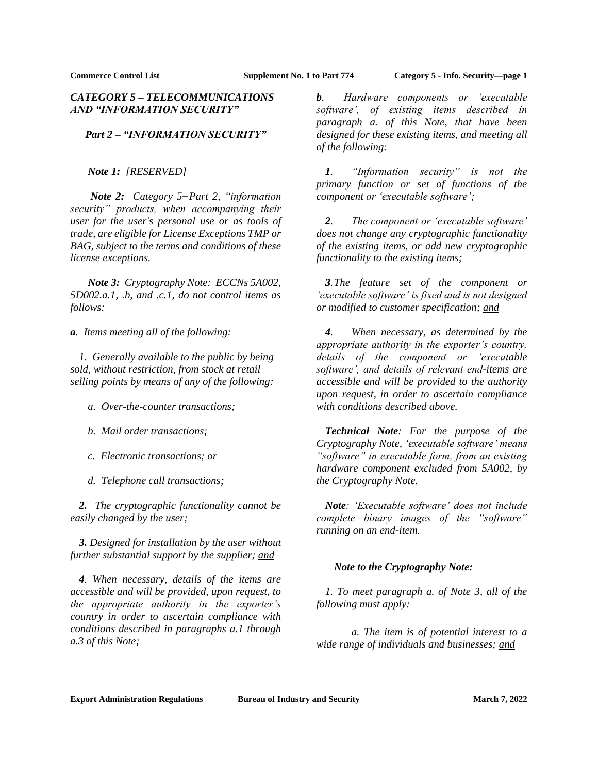# *CATEGORY 5 – TELECOMMUNICATIONS AND "INFORMATION SECURITY"*

# *Part 2 – "INFORMATION SECURITY"*

*Note 1: [RESERVED]*

*Note 2: Category 5 ̶Part 2, "information security" products, when accompanying their user for the user's personal use or as tools of trade, are eligible for License Exceptions TMP or BAG, subject to the terms and conditions of these license exceptions.*

*Note 3: Cryptography Note: ECCNs 5A002, 5D002.a.1, .b, and .c.1, do not control items as follows:*

*a. Items meeting all of the following:*

*1. Generally available to the public by being sold, without restriction, from stock at retail selling points by means of any of the following:*

- *a. Over-the-counter transactions;*
- *b. Mail order transactions;*
- *c. Electronic transactions; or*
- *d. Telephone call transactions;*

*2. The cryptographic functionality cannot be easily changed by the user;*

*3. Designed for installation by the user without further substantial support by the supplier; and*

*4. When necessary, details of the items are accessible and will be provided, upon request, to the appropriate authority in the exporter's country in order to ascertain compliance with conditions described in paragraphs a.1 through a.3 of this Note;*

*b. Hardware components or 'executable software', of existing items described in paragraph a. of this Note, that have been designed for these existing items, and meeting all of the following:*

*1. "Information security" is not the primary function or set of functions of the component or 'executable software';*

*2. The component or 'executable software' does not change any cryptographic functionality of the existing items, or add new cryptographic functionality to the existing items;*

*3.The feature set of the component or 'executable software' is fixed and is not designed or modified to customer specification; and*

*4. When necessary, as determined by the appropriate authority in the exporter's country, details of the component or 'executable software', and details of relevant end-items are accessible and will be provided to the authority upon request, in order to ascertain compliance with conditions described above.*

*Technical Note: For the purpose of the Cryptography Note, 'executable software' means "software" in executable form, from an existing hardware component excluded from 5A002, by the Cryptography Note.*

*Note: 'Executable software' does not include complete binary images of the "software" running on an end-item.*

## *Note to the Cryptography Note:*

*1. To meet paragraph a. of Note 3, all of the following must apply:*

*a. The item is of potential interest to a wide range of individuals and businesses; and*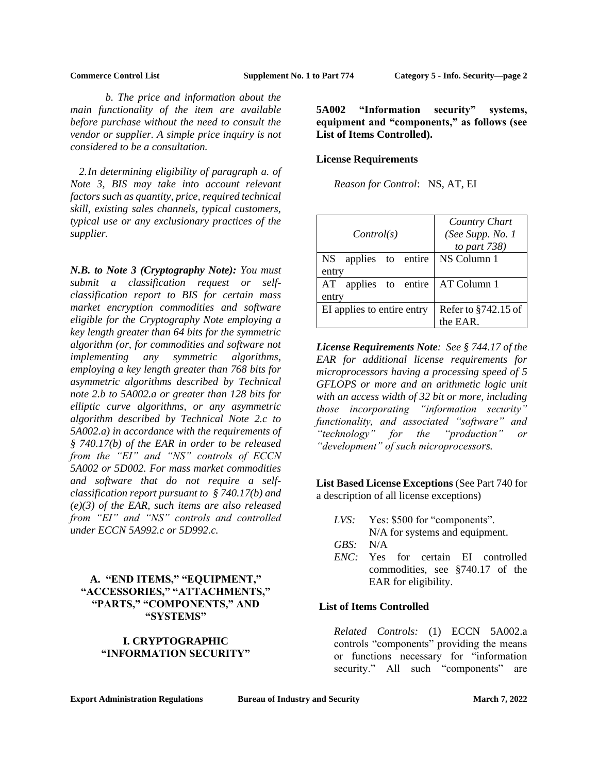*b. The price and information about the main functionality of the item are available before purchase without the need to consult the vendor or supplier. A simple price inquiry is not considered to be a consultation.*

*2.In determining eligibility of paragraph a. of Note 3, BIS may take into account relevant factors such as quantity, price, required technical skill, existing sales channels, typical customers, typical use or any exclusionary practices of the supplier.*

*N.B. to Note 3 (Cryptography Note): You must submit a classification request or selfclassification report to BIS for certain mass market encryption commodities and software eligible for the Cryptography Note employing a key length greater than 64 bits for the symmetric algorithm (or, for commodities and software not implementing any symmetric algorithms, employing a key length greater than 768 bits for asymmetric algorithms described by Technical note 2.b to 5A002.a or greater than 128 bits for elliptic curve algorithms, or any asymmetric algorithm described by Technical Note 2.c to 5A002.a) in accordance with the requirements of § 740.17(b) of the EAR in order to be released from the "EI" and "NS" controls of ECCN 5A002 or 5D002. For mass market commodities and software that do not require a selfclassification report pursuant to § 740.17(b) and (e)(3) of the EAR, such items are also released from "EI" and "NS" controls and controlled under ECCN 5A992.c or 5D992.c.*

# **A. "END ITEMS," "EQUIPMENT," "ACCESSORIES," "ATTACHMENTS," "PARTS," "COMPONENTS," AND "SYSTEMS"**

# **I. CRYPTOGRAPHIC "INFORMATION SECURITY"**

<span id="page-1-0"></span>**5A002 "Information security" systems, equipment and "components," as follows (see List of Items Controlled).**

### **License Requirements**

*Reason for Control*: NS, AT, EI

| Control(s)                 | Country Chart<br>(See Supp. No. 1<br>to part $738$ ) |
|----------------------------|------------------------------------------------------|
| NS applies to entire       | NS Column 1                                          |
| entry                      |                                                      |
| applies to entire<br>AT    | AT Column 1                                          |
| entry                      |                                                      |
| EI applies to entire entry | Refer to §742.15 of                                  |
|                            | the EAR.                                             |

*License Requirements Note: See § 744.17 of the EAR for additional license requirements for microprocessors having a processing speed of 5 GFLOPS or more and an arithmetic logic unit with an access width of 32 bit or more, including those incorporating "information security" functionality, and associated "software" and "technology" for the "production" or "development" of such microprocessors.*

**List Based License Exceptions** (See Part 740 for a description of all license exceptions)

- *LVS:* Yes: \$500 for "components". N/A for systems and equipment.
- *GBS:* N/A
- *ENC:* Yes for certain EI controlled commodities, see §740.17 of the EAR for eligibility.

# **List of Items Controlled**

*Related Controls:* (1) ECCN 5A002.a controls "components" providing the means or functions necessary for "information security." All such "components" are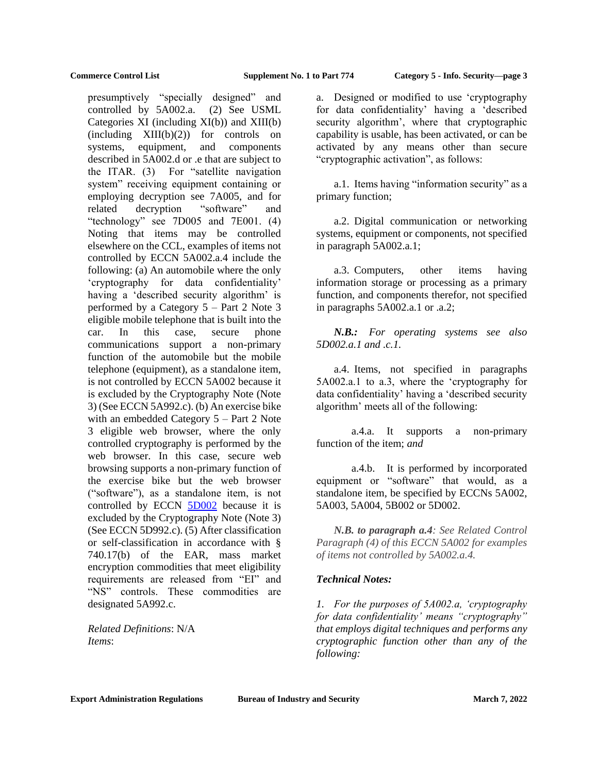presumptively "specially designed" and controlled by 5A002.a. (2) See USML Categories XI (including XI(b)) and XIII(b)  $(including \quad XIII(b)(2))$  for controls on systems, equipment, and components described in 5A002.d or .e that are subject to the ITAR. (3) For "satellite navigation system" receiving equipment containing or employing decryption see 7A005, and for related decryption "software" and "technology" see 7D005 and 7E001. (4) Noting that items may be controlled elsewhere on the CCL, examples of items not controlled by ECCN 5A002.a.4 include the following: (a) An automobile where the only 'cryptography for data confidentiality' having a 'described security algorithm' is performed by a Category 5 – Part 2 Note 3 eligible mobile telephone that is built into the car. In this case, secure phone communications support a non-primary function of the automobile but the mobile telephone (equipment), as a standalone item, is not controlled by ECCN 5A002 because it is excluded by the Cryptography Note (Note 3) (See ECCN 5A992.c). (b) An exercise bike with an embedded Category 5 – Part 2 Note 3 eligible web browser, where the only controlled cryptography is performed by the web browser. In this case, secure web browsing supports a non-primary function of the exercise bike but the web browser ("software"), as a standalone item, is not controlled by ECCN [5D002](#page-8-0) because it is excluded by the Cryptography Note (Note 3) (See ECCN 5D992.c). (5) After classification or self-classification in accordance with § 740.17(b) of the EAR, mass market encryption commodities that meet eligibility requirements are released from "EI" and "NS" controls. These commodities are designated 5A992.c.

*Related Definitions*: N/A *Items*:

a. Designed or modified to use 'cryptography for data confidentiality' having a 'described security algorithm', where that cryptographic capability is usable, has been activated, or can be activated by any means other than secure "cryptographic activation", as follows:

a.1. Items having "information security" as a primary function;

a.2. Digital communication or networking systems, equipment or components, not specified in paragraph 5A002.a.1;

a.3. Computers, other items having information storage or processing as a primary function, and components therefor, not specified in paragraphs 5A002.a.1 or .a.2;

*N.B.: For operating systems see also 5D002.a.1 and .c.1.*

a.4. Items, not specified in paragraphs 5A002.a.1 to a.3, where the 'cryptography for data confidentiality' having a 'described security algorithm' meets all of the following:

a.4.a. It supports a non-primary function of the item; *and*

a.4.b. It is performed by incorporated equipment or "software" that would, as a standalone item, be specified by ECCNs 5A002, 5A003, 5A004, 5B002 or 5D002.

*N.B. to paragraph a.4: See Related Control Paragraph (4) of this ECCN 5A002 for examples of items not controlled by 5A002.a.4.*

## *Technical Notes:*

*1. For the purposes of 5A002.a, 'cryptography for data confidentiality' means "cryptography" that employs digital techniques and performs any cryptographic function other than any of the following:*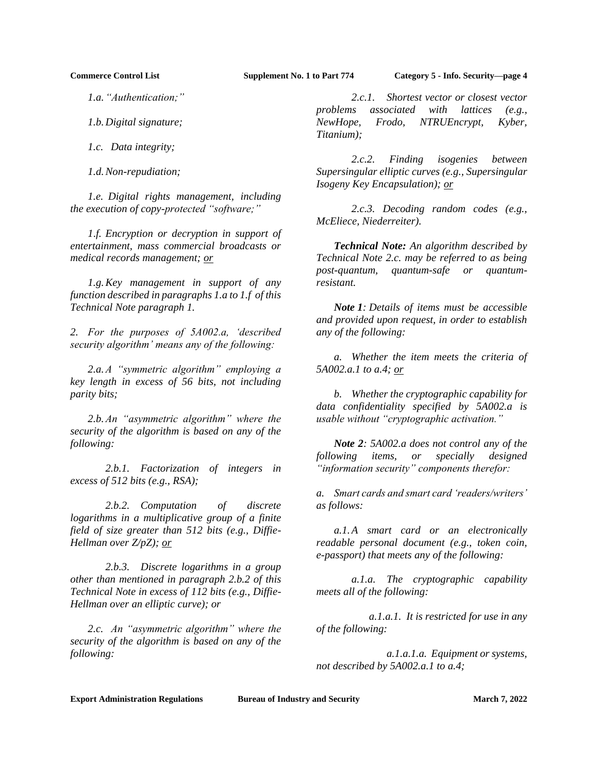*1.a."Authentication;"*

*1.b.Digital signature;*

*1.c. Data integrity;*

*1.d.Non-repudiation;*

*1.e. Digital rights management, including the execution of copy-protected "software;"*

*1*.*f. Encryption or decryption in support of entertainment, mass commercial broadcasts or medical records management; or* 

*1.g.Key management in support of any function described in paragraphs 1.a to 1.f of this Technical Note paragraph 1.*

*2. For the purposes of 5A002.a, 'described security algorithm' means any of the following:*

*2.a.A "symmetric algorithm" employing a key length in excess of 56 bits, not including parity bits;* 

*2.b.An "asymmetric algorithm" where the security of the algorithm is based on any of the following:*

*2.b.1. Factorization of integers in excess of 512 bits (e.g., RSA);*

*2.b.2. Computation of discrete logarithms in a multiplicative group of a finite field of size greater than 512 bits (e.g., Diffie-Hellman over Z/pZ); or*

*2.b.3. Discrete logarithms in a group other than mentioned in paragraph 2.b.2 of this Technical Note in excess of 112 bits (e.g., Diffie-Hellman over an elliptic curve); or*

*2.c. An "asymmetric algorithm" where the security of the algorithm is based on any of the following:*

*2.c.1. Shortest vector or closest vector problems associated with lattices (e.g., NewHope, Frodo, NTRUEncrypt, Kyber, Titanium);*

*2.c.2. Finding isogenies between Supersingular elliptic curves (e.g., Supersingular Isogeny Key Encapsulation); or*

*2.c.3. Decoding random codes (e.g., McEliece, Niederreiter).*

*Technical Note: An algorithm described by Technical Note 2.c. may be referred to as being post-quantum, quantum-safe or quantumresistant.*

*Note 1: Details of items must be accessible and provided upon request, in order to establish any of the following:*

*a. Whether the item meets the criteria of 5A002.a.1 to a.4; or*

*b. Whether the cryptographic capability for data confidentiality specified by 5A002.a is usable without "cryptographic activation."* 

*Note 2: 5A002.a does not control any of the following items, or specially designed "information security" components therefor:* 

*a. Smart cards and smart card 'readers/writers' as follows:*

*a.1.A smart card or an electronically readable personal document (e.g., token coin, e-passport) that meets any of the following:*

*a.1.a. The cryptographic capability meets all of the following:*

*a.1.a.1. It is restricted for use in any of the following:*

*a.1.a.1.a. Equipment or systems, not described by 5A002.a.1 to a.4;*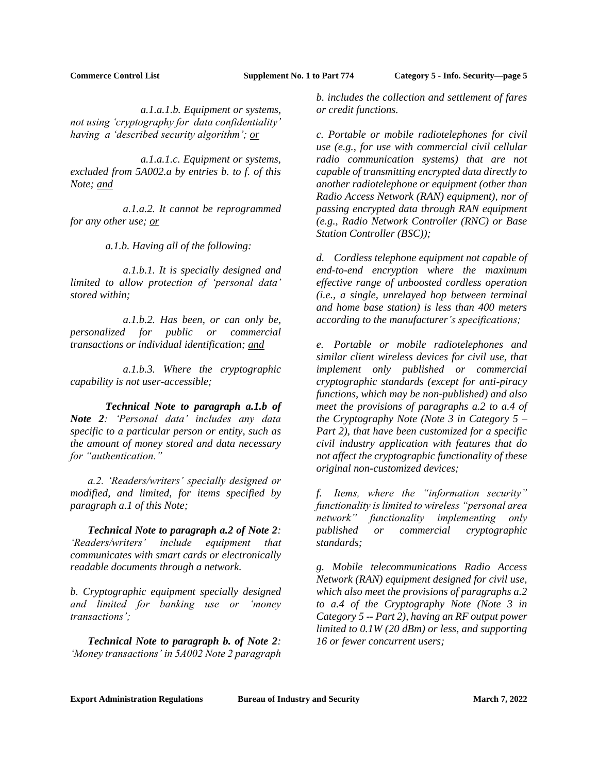*a.1.a.1.b. Equipment or systems, not using 'cryptography for data confidentiality' having a 'described security algorithm'; or*

*a.1.a.1.c. Equipment or systems, excluded from 5A002.a by entries b. to f. of this Note; and*

*a.1.a.2. It cannot be reprogrammed for any other use; or*

*a.1.b. Having all of the following:*

*a.1.b.1. It is specially designed and limited to allow protection of 'personal data' stored within;*

*a.1.b.2. Has been, or can only be, personalized for public or commercial transactions or individual identification; and*

*a.1.b.3. Where the cryptographic capability is not user-accessible;*

*Technical Note to paragraph a.1.b of Note 2: 'Personal data' includes any data specific to a particular person or entity, such as the amount of money stored and data necessary for "authentication."*

*a.2. 'Readers/writers' specially designed or modified, and limited, for items specified by paragraph a.1 of this Note;*

*Technical Note to paragraph a.2 of Note 2: 'Readers/writers' include equipment that communicates with smart cards or electronically readable documents through a network.*

*b. Cryptographic equipment specially designed and limited for banking use or 'money transactions';*

*Technical Note to paragraph b. of Note 2: 'Money transactions' in 5A002 Note 2 paragraph*  *b. includes the collection and settlement of fares or credit functions.*

*c. Portable or mobile radiotelephones for civil use (e.g., for use with commercial civil cellular radio communication systems) that are not capable of transmitting encrypted data directly to another radiotelephone or equipment (other than Radio Access Network (RAN) equipment), nor of passing encrypted data through RAN equipment (e.g., Radio Network Controller (RNC) or Base Station Controller (BSC));*

*d. Cordless telephone equipment not capable of end-to-end encryption where the maximum effective range of unboosted cordless operation (i.e., a single, unrelayed hop between terminal and home base station) is less than 400 meters according to the manufacturer's specifications;* 

*e. Portable or mobile radiotelephones and similar client wireless devices for civil use, that implement only published or commercial cryptographic standards (except for anti-piracy functions, which may be non-published) and also meet the provisions of paragraphs a.2 to a.4 of the Cryptography Note (Note 3 in Category 5 – Part 2), that have been customized for a specific civil industry application with features that do not affect the cryptographic functionality of these original non-customized devices;* 

*f. Items, where the "information security" functionality is limited to wireless "personal area network" functionality implementing only published or commercial cryptographic standards;*

*g. Mobile telecommunications Radio Access Network (RAN) equipment designed for civil use, which also meet the provisions of paragraphs a.2 to a.4 of the Cryptography Note (Note 3 in Category 5 -- Part 2), having an RF output power limited to 0.1W (20 dBm) or less, and supporting 16 or fewer concurrent users;*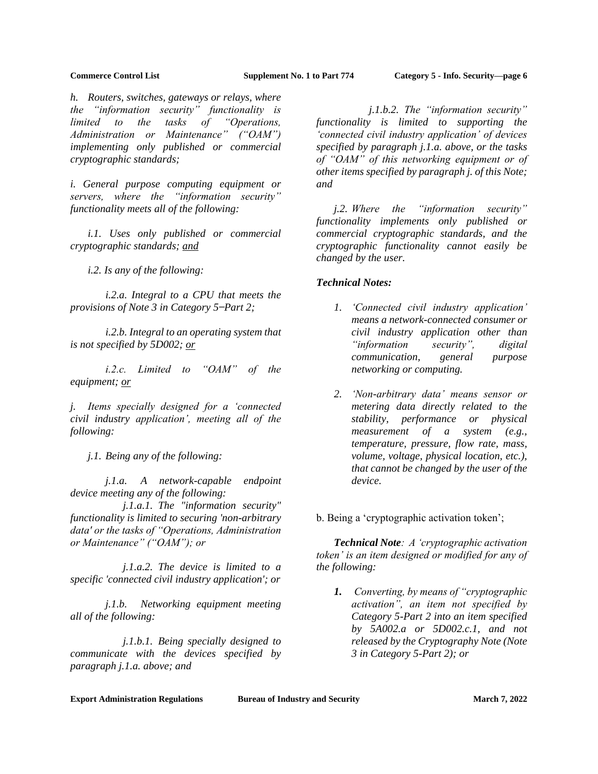*h. Routers, switches, gateways or relays, where the "information security" functionality is limited to the tasks of "Operations, Administration or Maintenance" ("OAM") implementing only published or commercial cryptographic standards;* 

*i. General purpose computing equipment or servers, where the "information security" functionality meets all of the following:* 

*i.1. Uses only published or commercial cryptographic standards; and*

*i.2. Is any of the following:*

*i.2.a. Integral to a CPU that meets the provisions of Note 3 in Category 5 ̶Part 2;*

*i.2.b. Integral to an operating system that is not specified by 5D002; or*

*i.2.c. Limited to "OAM" of the equipment; or*

*j. Items specially designed for a 'connected civil industry application', meeting all of the following:*

*j.1. Being any of the following:*

*j.1.a. A network-capable endpoint device meeting any of the following:*

*j.1.a.1. The "information security" functionality is limited to securing 'non-arbitrary data' or the tasks of "Operations, Administration or Maintenance" ("OAM"); or*

*j.1.a.2. The device is limited to a specific 'connected civil industry application'; or*

*j.1.b. Networking equipment meeting all of the following:*

*j.1.b.1. Being specially designed to communicate with the devices specified by paragraph j.1.a. above; and*

*j.1.b.2. The "information security" functionality is limited to supporting the 'connected civil industry application' of devices specified by paragraph j.1.a. above, or the tasks of "OAM" of this networking equipment or of other items specified by paragraph j. of this Note; and*

*j.2. Where the "information security" functionality implements only published or commercial cryptographic standards, and the cryptographic functionality cannot easily be changed by the user.*

## *Technical Notes:*

- *1. 'Connected civil industry application' means a network-connected consumer or civil industry application other than "information security", digital communication, general purpose networking or computing.*
- *2. 'Non-arbitrary data' means sensor or metering data directly related to the stability, performance or physical measurement of a system (e.g., temperature, pressure, flow rate, mass, volume, voltage, physical location, etc.), that cannot be changed by the user of the device.*

b. Being a 'cryptographic activation token';

*Technical Note: A 'cryptographic activation token' is an item designed or modified for any of the following:*

*1. Converting, by means of "cryptographic activation", an item not specified by Category 5-Part 2 into an item specified by 5A002.a or 5D002.c.1, and not released by the Cryptography Note (Note 3 in Category 5-Part 2); or*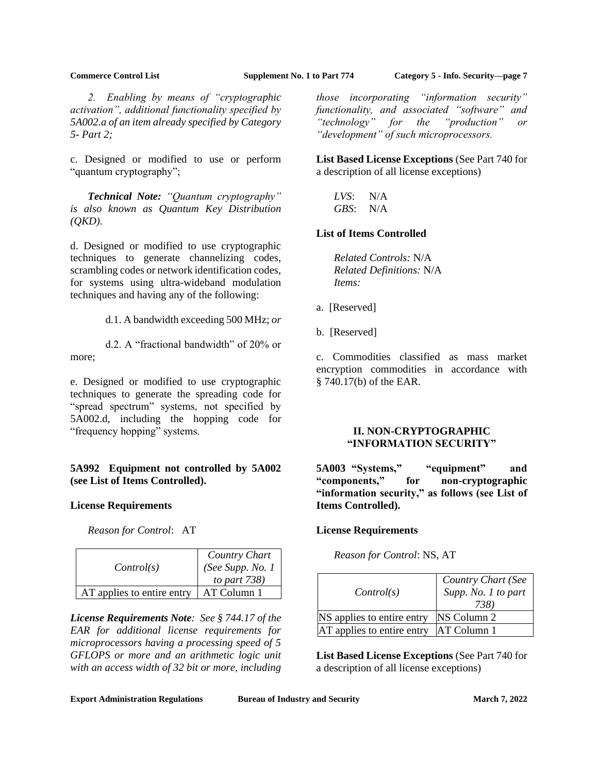*2. Enabling by means of "cryptographic activation", additional functionality specified by 5A002.a of an item already specified by Category 5- Part 2;*

c. Designed or modified to use or perform "quantum cryptography";

*Technical Note: "Quantum cryptography" is also known as Quantum Key Distribution (QKD).*

d. Designed or modified to use cryptographic techniques to generate channelizing codes, scrambling codes or network identification codes, for systems using ultra-wideband modulation techniques and having any of the following:

d.1. A bandwidth exceeding 500 MHz; *or*

d.2. A "fractional bandwidth" of 20% or more;

e. Designed or modified to use cryptographic techniques to generate the spreading code for "spread spectrum" systems, not specified by 5A002.d, including the hopping code for "frequency hopping" systems.

# **5A992 Equipment not controlled by 5A002 (see List of Items Controlled).**

## **License Requirements**

*Reason for Control*: AT

| Control(s)                 | Country Chart<br>(See Supp. No. 1<br>to part 738) |
|----------------------------|---------------------------------------------------|
| AT applies to entire entry | AT Column 1                                       |

*License Requirements Note: See § 744.17 of the EAR for additional license requirements for microprocessors having a processing speed of 5 GFLOPS or more and an arithmetic logic unit with an access width of 32 bit or more, including* 

*those incorporating "information security" functionality, and associated "software" and "technology" for the "production" or "development" of such microprocessors.*

**List Based License Exceptions** (See Part 740 for a description of all license exceptions)

*LVS*: N/A *GBS*: N/A

# **List of Items Controlled**

*Related Controls:* N/A *Related Definitions:* N/A *Items:*

a. [Reserved]

b. [Reserved]

c. Commodities classified as mass market encryption commodities in accordance with § 740.17(b) of the EAR.

# **II. NON-CRYPTOGRAPHIC "INFORMATION SECURITY"**

**5A003 "Systems," "equipment" and "components," for non-cryptographic "information security," as follows (see List of Items Controlled).**

# **License Requirements**

*Reason for Control*: NS, AT

| Control(s)                 | Country Chart (See<br>Supp. No. 1 to part<br>738) |
|----------------------------|---------------------------------------------------|
| NS applies to entire entry | NS Column 2                                       |
| AT applies to entire entry | <b>AT Column 1</b>                                |

**List Based License Exceptions** (See Part 740 for a description of all license exceptions)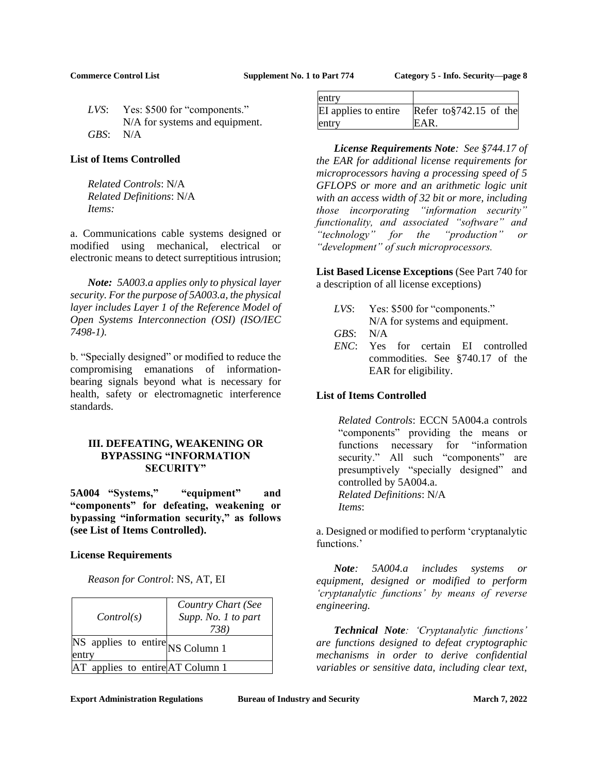|          | LVS: Yes: \$500 for "components." |
|----------|-----------------------------------|
|          | N/A for systems and equipment.    |
| GBS: N/A |                                   |

### **List of Items Controlled**

*Related Controls*: N/A *Related Definitions*: N/A *Items:* 

a. Communications cable systems designed or modified using mechanical, electrical or electronic means to detect surreptitious intrusion;

*Note: 5A003.a applies only to physical layer security. For the purpose of 5A003.a, the physical layer includes Layer 1 of the Reference Model of Open Systems Interconnection (OSI) (ISO/IEC 7498-1).*

b. "Specially designed" or modified to reduce the compromising emanations of informationbearing signals beyond what is necessary for health, safety or electromagnetic interference standards.

## **III. DEFEATING, WEAKENING OR BYPASSING "INFORMATION SECURITY"**

**5A004 "Systems," "equipment" and "components" for defeating, weakening or bypassing "information security," as follows (see List of Items Controlled).**

## **License Requirements**

*Reason for Control*: NS, AT, EI

| Control(s)                                | Country Chart (See<br>Supp. No. 1 to part<br>738) |
|-------------------------------------------|---------------------------------------------------|
| NS applies to entire NS Column 1<br>entry |                                                   |
| AT applies to entire AT Column 1          |                                                   |

| entry                |                           |
|----------------------|---------------------------|
| EI applies to entire | Refer to $$742.15$ of the |
| entry                | EAR.                      |

*License Requirements Note: See §744.17 of the EAR for additional license requirements for microprocessors having a processing speed of 5 GFLOPS or more and an arithmetic logic unit with an access width of 32 bit or more, including those incorporating "information security" functionality, and associated "software" and "technology" for the "production" or "development" of such microprocessors.*

**List Based License Exceptions** (See Part 740 for a description of all license exceptions)

*LVS*: Yes: \$500 for "components." N/A for systems and equipment.

*GBS*: N/A

*ENC*: Yes for certain EI controlled commodities. See §740.17 of the EAR for eligibility.

## **List of Items Controlled**

*Related Controls*: ECCN 5A004.a controls "components" providing the means or functions necessary for "information security." All such "components" are presumptively "specially designed" and controlled by 5A004.a. *Related Definitions*: N/A *Items*:

a. Designed or modified to perform 'cryptanalytic functions.'

*Note: 5A004.a includes systems or equipment, designed or modified to perform 'cryptanalytic functions' by means of reverse engineering.*

*Technical Note: 'Cryptanalytic functions' are functions designed to defeat cryptographic mechanisms in order to derive confidential variables or sensitive data, including clear text,*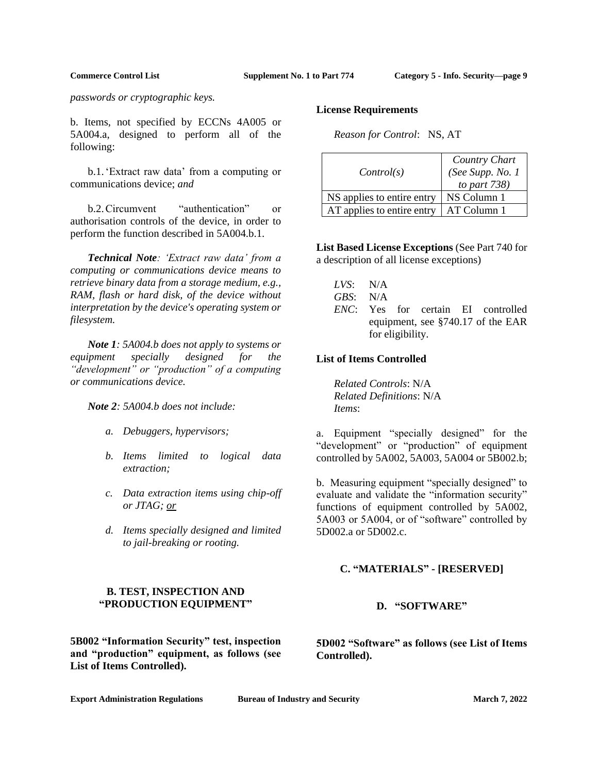*passwords or cryptographic keys.*

b. Items, not specified by ECCNs 4A005 or 5A004.a, designed to perform all of the following:

b.1.'Extract raw data' from a computing or communications device; *and*

b.2.Circumvent "authentication" or authorisation controls of the device, in order to perform the function described in 5A004.b.1.

*Technical Note: 'Extract raw data' from a computing or communications device means to retrieve binary data from a storage medium, e.g., RAM, flash or hard disk, of the device without interpretation by the device's operating system or filesystem.*

*Note 1: 5A004.b does not apply to systems or equipment specially designed for the "development" or "production" of a computing or communications device.*

*Note 2: 5A004.b does not include:*

- *a. Debuggers, hypervisors;*
- *b. Items limited to logical data extraction;*
- *c. Data extraction items using chip-off or JTAG; or*
- *d. Items specially designed and limited to jail-breaking or rooting.*

# **B. TEST, INSPECTION AND "PRODUCTION EQUIPMENT"**

**5B002 "Information Security" test, inspection and "production" equipment, as follows (see List of Items Controlled).**

### **License Requirements**

*Reason for Control*: NS, AT

| Control(s)                 | Country Chart<br>(See Supp. No. 1<br>to part $738$ ) |
|----------------------------|------------------------------------------------------|
| NS applies to entire entry | NS Column 1                                          |
| AT applies to entire entry | AT Column 1                                          |

**List Based License Exceptions** (See Part 740 for a description of all license exceptions)

| LVS: | N/A |
|------|-----|
|      |     |

- *GBS*: N/A
- *ENC*: Yes for certain EI controlled equipment, see §740.17 of the EAR for eligibility.

### **List of Items Controlled**

*Related Controls*: N/A *Related Definitions*: N/A *Items*:

a. Equipment "specially designed" for the "development" or "production" of equipment controlled by 5A002, 5A003, 5A004 or 5B002.b;

b. Measuring equipment "specially designed" to evaluate and validate the "information security" functions of equipment controlled by 5A002, 5A003 or 5A004, or of "software" controlled by 5D002.a or 5D002.c.

# **C. "MATERIALS" - [RESERVED]**

### **D. "SOFTWARE"**

<span id="page-8-0"></span>**5D002 "Software" as follows (see List of Items Controlled).**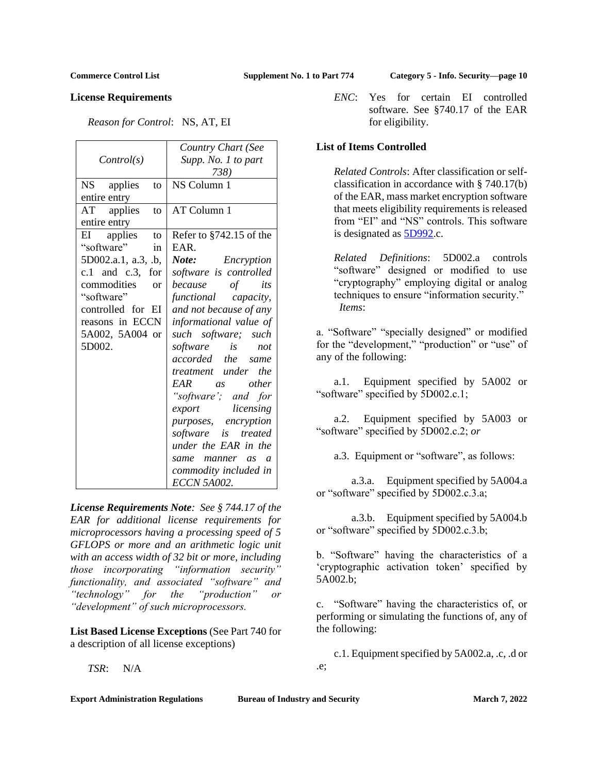## **License Requirements**

*Reason for Control*: NS, AT, EI

|                     | Country Chart (See               |
|---------------------|----------------------------------|
| Control(s)          | Supp. No. 1 to part              |
|                     | 738)                             |
| NS applies<br>to    | NS Column 1                      |
| entire entry        |                                  |
| AT applies<br>to    | AT Column 1                      |
| entire entry        |                                  |
| EI applies<br>to    | Refer to §742.15 of the          |
| "software"<br>in    | EAR.                             |
| 5D002.a.1, a.3, .b, | <b>Note:</b> Encryption          |
| c.1 and c.3, for    | software is controlled           |
| commodities or      | because of its                   |
| "software"          | functional capacity,             |
| controlled for EI   | and not because of any           |
| reasons in ECCN     | informational value of           |
| 5A002, 5A004 or     | such software; such              |
| 5D002.              | software is<br>not               |
|                     | accorded the same                |
|                     | treatment under the              |
|                     | EAR as other                     |
|                     | "software'; and for              |
|                     | export licensing                 |
|                     | purposes, encryption             |
|                     | software is treated              |
|                     | under the EAR in the             |
|                     | same manner as<br>$\overline{a}$ |
|                     | commodity included in            |
|                     | <b>ECCN 5A002.</b>               |

*License Requirements Note: See § 744.17 of the EAR for additional license requirements for microprocessors having a processing speed of 5 GFLOPS or more and an arithmetic logic unit with an access width of 32 bit or more, including those incorporating "information security" functionality, and associated "software" and "technology" for the "production" or "development" of such microprocessors.*

**List Based License Exceptions** (See Part 740 for a description of all license exceptions)

*TSR*: N/A

*ENC*: Yes for certain EI controlled software. See §740.17 of the EAR for eligibility.

## **List of Items Controlled**

*Related Controls*: After classification or selfclassification in accordance with § 740.17(b) of the EAR, mass market encryption software that meets eligibility requirements is released from "EI" and "NS" controls. This software is designated as [5D992.](#page-10-0)c.

*Related Definitions*: 5D002.a controls "software" designed or modified to use "cryptography" employing digital or analog techniques to ensure "information security." *Items*:

a. "Software" "specially designed" or modified for the "development," "production" or "use" of any of the following:

a.1. Equipment specified by 5A002 or "software" specified by 5D002.c.1;

a.2. Equipment specified by 5A003 or "software" specified by 5D002.c.2; *or*

a.3. Equipment or "software", as follows:

a.3.a. Equipment specified by 5A004.a or "software" specified by 5D002.c.3.a;

a.3.b. Equipment specified by 5A004.b or "software" specified by 5D002.c.3.b;

b. "Software" having the characteristics of a 'cryptographic activation token' specified by 5A002.b;

c. "Software" having the characteristics of, or performing or simulating the functions of, any of the following:

c.1. Equipment specified by 5A002.a, .c, .d or .e;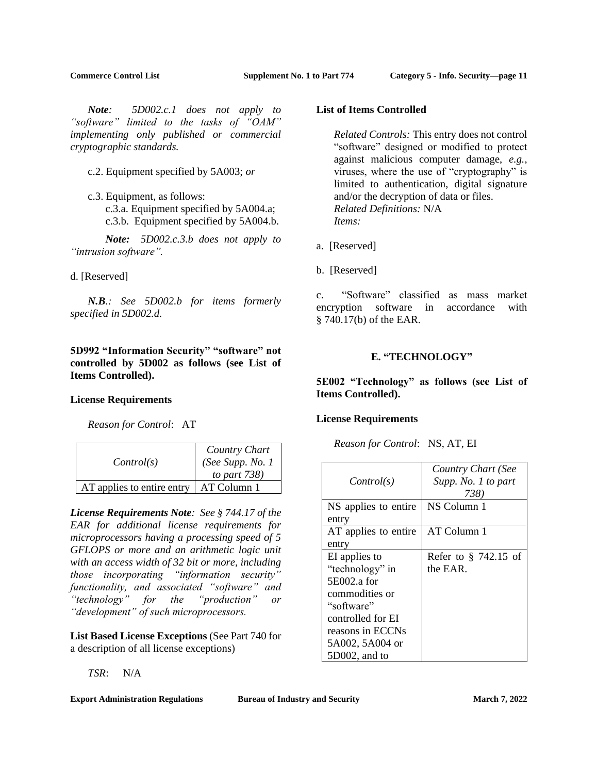*Note: 5D002.c.1 does not apply to "software" limited to the tasks of "OAM" implementing only published or commercial cryptographic standards.*

c.2. Equipment specified by 5A003; *or*

c.3. Equipment, as follows: c.3.a. Equipment specified by 5A004.a; c.3.b. Equipment specified by 5A004.b.

*Note: 5D002.c.3.b does not apply to "intrusion software".*

d. [Reserved]

*N.B.: See 5D002.b for items formerly specified in 5D002.d.*

<span id="page-10-0"></span>**5D992 "Information Security" "software" not controlled by 5D002 as follows (see List of Items Controlled).**

### **License Requirements**

*Reason for Control*: AT

| Control(s)                 | Country Chart<br>(See Supp. No. 1<br>to part $738$ ) |
|----------------------------|------------------------------------------------------|
| AT applies to entire entry | AT Column 1                                          |

*License Requirements Note: See § 744.17 of the EAR for additional license requirements for microprocessors having a processing speed of 5 GFLOPS or more and an arithmetic logic unit with an access width of 32 bit or more, including those incorporating "information security" functionality, and associated "software" and "technology" for the "production" or "development" of such microprocessors.*

**List Based License Exceptions** (See Part 740 for a description of all license exceptions)

*TSR*: N/A

### **Export Administration Regulations <b>Bureau of Industry and Security March 7, 2022**

## **List of Items Controlled**

*Related Controls:* This entry does not control "software" designed or modified to protect against malicious computer damage, *e.g.*, viruses, where the use of "cryptography" is limited to authentication, digital signature and/or the decryption of data or files. *Related Definitions:* N/A *Items:*

- a. [Reserved]
- b. [Reserved]

c. "Software" classified as mass market encryption software in accordance with § 740.17(b) of the EAR.

### **E. "TECHNOLOGY"**

**5E002 "Technology" as follows (see List of Items Controlled).**

### **License Requirements**

*Reason for Control*: NS, AT, EI

| Control(s)           | Country Chart (See<br>Supp. No. 1 to part<br>738) |
|----------------------|---------------------------------------------------|
| NS applies to entire | NS Column 1                                       |
| entry                |                                                   |
| AT applies to entire | AT Column 1                                       |
| entry                |                                                   |
| EI applies to        | Refer to § 742.15 of                              |
| "technology" in      | the EAR.                                          |
| 5E002.a for          |                                                   |
| commodities or       |                                                   |
| "software"           |                                                   |
| controlled for EI    |                                                   |
| reasons in ECCNs     |                                                   |
| 5A002, 5A004 or      |                                                   |
| 5D002, and to        |                                                   |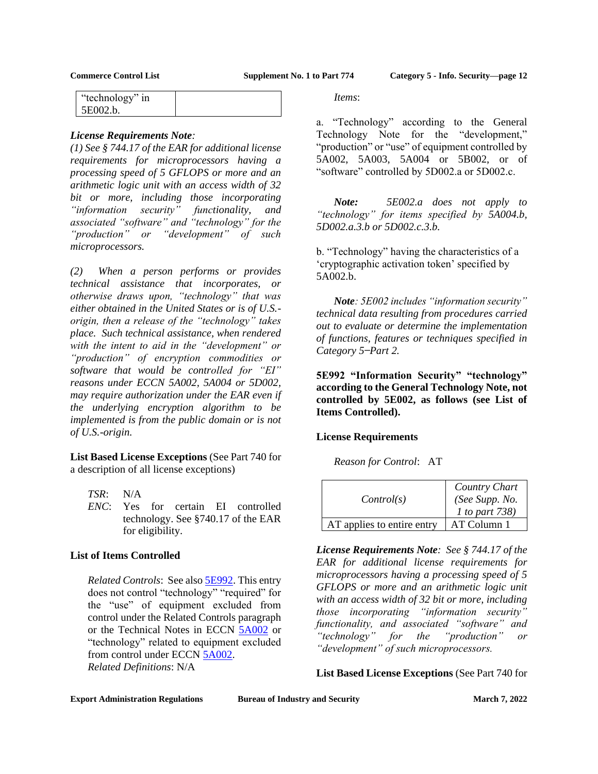| "technology" in |  |
|-----------------|--|
| 5E002.b.        |  |

### *License Requirements Note:*

*(1) See § 744.17 of the EAR for additional license requirements for microprocessors having a processing speed of 5 GFLOPS or more and an arithmetic logic unit with an access width of 32 bit or more, including those incorporating "information security" functionality, and associated "software" and "technology" for the "production" or "development" of such microprocessors.* 

*(2) When a person performs or provides technical assistance that incorporates, or otherwise draws upon, "technology" that was either obtained in the United States or is of U.S. origin, then a release of the "technology" takes place. Such technical assistance, when rendered with the intent to aid in the "development" or "production" of encryption commodities or software that would be controlled for "EI" reasons under ECCN 5A002, 5A004 or 5D002, may require authorization under the EAR even if the underlying encryption algorithm to be implemented is from the public domain or is not of U.S.-origin.*

**List Based License Exceptions** (See Part 740 for a description of all license exceptions)

- *TSR*: N/A
- *ENC*: Yes for certain EI controlled technology. See §740.17 of the EAR for eligibility.

## **List of Items Controlled**

*Related Controls*: See also **5E992**. This entry does not control "technology" "required" for the "use" of equipment excluded from control under the Related Controls paragraph or the Technical Notes in ECCN [5A002](#page-1-0) or "technology" related to equipment excluded from control under ECCN [5A002.](#page-1-0) *Related Definitions*: N/A

*Items*:

a. "Technology" according to the General Technology Note for the "development," "production" or "use" of equipment controlled by 5A002, 5A003, 5A004 or 5B002, or of "software" controlled by 5D002.a or 5D002.c.

*Note: 5E002.a does not apply to "technology" for items specified by 5A004.b, 5D002.a.3.b or 5D002.c.3.b.*

b. "Technology" having the characteristics of a 'cryptographic activation token' specified by 5A002.b.

*Note: 5E002 includes "information security" technical data resulting from procedures carried out to evaluate or determine the implementation of functions, features or techniques specified in Category 5 ̶Part 2.*

<span id="page-11-0"></span>**5E992 "Information Security" "technology" according to the General Technology Note, not controlled by 5E002, as follows (see List of Items Controlled).**

## **License Requirements**

*Reason for Control*: AT

| Control(s)                 | Country Chart<br>(See Supp. No.<br>1 to part 738) |
|----------------------------|---------------------------------------------------|
| AT applies to entire entry | AT Column 1                                       |

*License Requirements Note: See § 744.17 of the EAR for additional license requirements for microprocessors having a processing speed of 5 GFLOPS or more and an arithmetic logic unit with an access width of 32 bit or more, including those incorporating "information security" functionality, and associated "software" and "technology" for the "production" or "development" of such microprocessors.*

**List Based License Exceptions** (See Part 740 for